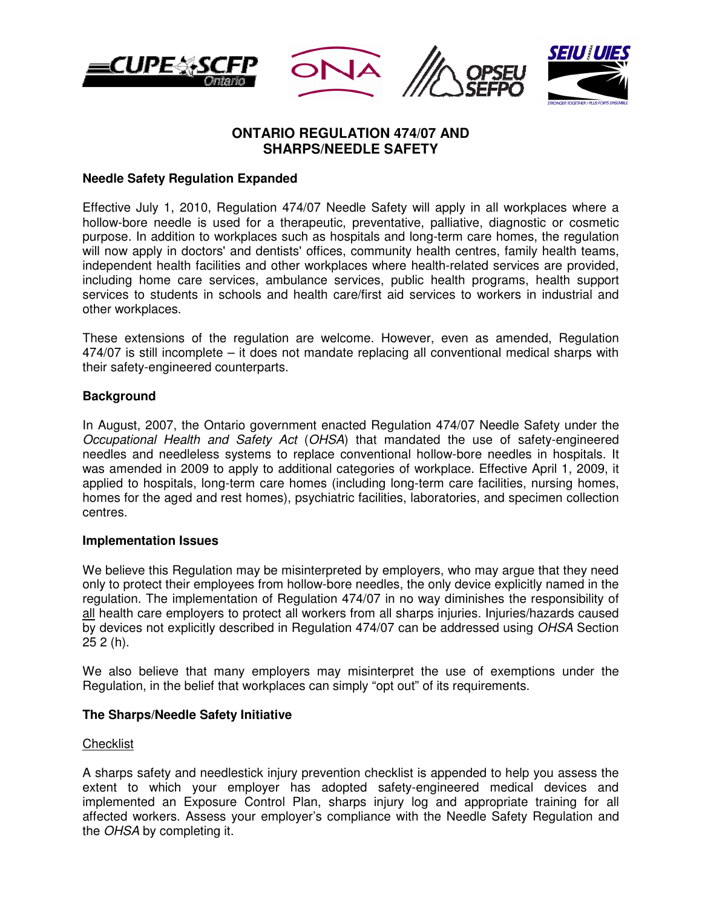







# **ONTARIO REGULATION 474/07 AND SHARPS/NEEDLE SAFETY**

## **Needle Safety Regulation Expanded**

Effective July 1, 2010, Regulation 474/07 Needle Safety will apply in all workplaces where a hollow-bore needle is used for a therapeutic, preventative, palliative, diagnostic or cosmetic purpose. In addition to workplaces such as hospitals and long-term care homes, the regulation will now apply in doctors' and dentists' offices, community health centres, family health teams, independent health facilities and other workplaces where health-related services are provided, including home care services, ambulance services, public health programs, health support services to students in schools and health care/first aid services to workers in industrial and other workplaces.

These extensions of the regulation are welcome. However, even as amended, Regulation 474/07 is still incomplete – it does not mandate replacing all conventional medical sharps with their safety-engineered counterparts.

## **Background**

In August, 2007, the Ontario government enacted Regulation 474/07 Needle Safety under the Occupational Health and Safety Act (OHSA) that mandated the use of safety-engineered needles and needleless systems to replace conventional hollow-bore needles in hospitals. It was amended in 2009 to apply to additional categories of workplace. Effective April 1, 2009, it applied to hospitals, long-term care homes (including long-term care facilities, nursing homes, homes for the aged and rest homes), psychiatric facilities, laboratories, and specimen collection centres.

### **Implementation Issues**

We believe this Regulation may be misinterpreted by employers, who may argue that they need only to protect their employees from hollow-bore needles, the only device explicitly named in the regulation. The implementation of Regulation 474/07 in no way diminishes the responsibility of all health care employers to protect all workers from all sharps injuries. Injuries/hazards caused by devices not explicitly described in Regulation 474/07 can be addressed using OHSA Section 25 2 (h).

We also believe that many employers may misinterpret the use of exemptions under the Regulation, in the belief that workplaces can simply "opt out" of its requirements.

## **The Sharps/Needle Safety Initiative**

### Checklist

A sharps safety and needlestick injury prevention checklist is appended to help you assess the extent to which your employer has adopted safety-engineered medical devices and implemented an Exposure Control Plan, sharps injury log and appropriate training for all affected workers. Assess your employer's compliance with the Needle Safety Regulation and the OHSA by completing it.